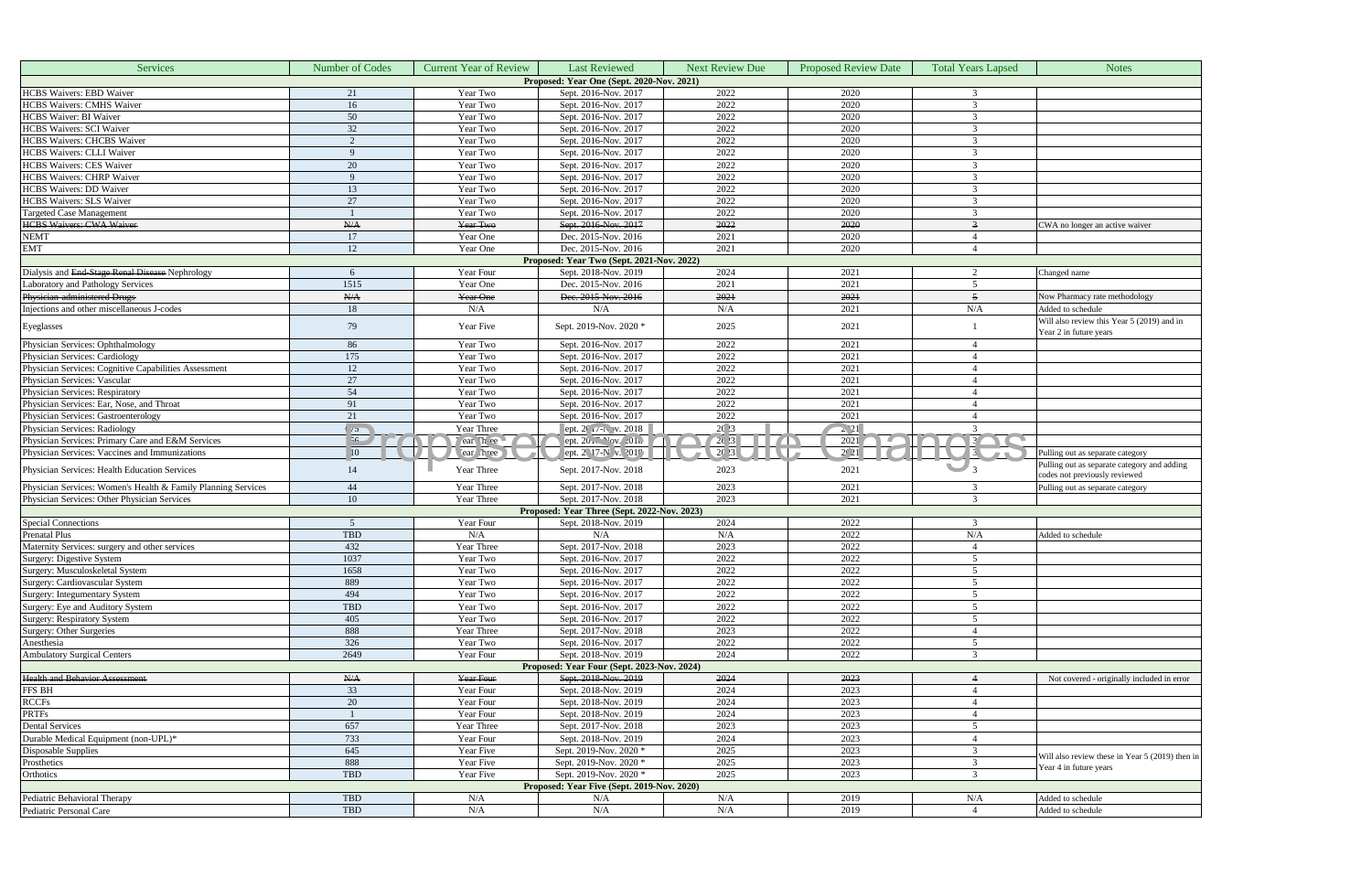| Proposed: Year One (Sept. 2020-Nov. 2021)<br><b>HCBS</b> Waivers: EBD Waiver<br>2022<br>Year Two<br>Sept. 2016-Nov. 2017<br>2020<br>21<br>16<br>2022<br>2020<br><b>HCBS Waivers: CMHS Waiver</b><br>Year Two<br>Sept. 2016-Nov. 2017<br>3<br>50<br>2022<br>2020<br><b>HCBS</b> Waiver: BI Waiver<br>Year Two<br>Sept. 2016-Nov. 2017<br>3<br>32<br>2022<br>2020<br><b>HCBS Waivers: SCI Waiver</b><br>Year Two<br>Sept. 2016-Nov. 2017<br>3<br>2022<br><b>HCBS Waivers: CHCBS Waiver</b><br>Year Two<br>Sept. 2016-Nov. 2017<br>2020<br>$\overline{2}$<br>3<br><b>HCBS</b> Waivers: CLLI Waiver<br>2022<br>2020<br>Year Two<br>Sept. 2016-Nov. 2017<br>3<br>$\mathbf Q$<br>2022<br>2020<br>20<br>Year Two<br>Sept. 2016-Nov. 2017<br>3<br>2022<br>2020<br>HCBS Waivers: CHRP Waiver<br>Year Two<br>Sept. 2016-Nov. 2017<br>3<br>9<br>2022<br>13<br>Sept. 2016-Nov. 2017<br>2020<br>HCBS Waivers: DD Waiver<br>Year Two<br>$\mathcal{R}$<br>27<br>Sept. 2016-Nov. 2017<br>2022<br>Year Two<br>2020<br>3<br>2022<br>2020<br>Year Two<br>Sept. 2016-Nov. 2017<br>3<br>A/A<br>2022<br>2020<br>Year Two<br>Sept. 2016-Nov. 2017<br>$\overline{\mathbf{3}}$<br>CWA no longer an active waiver<br>2021<br>17<br>2020<br>Year One<br>Dec. 2015-Nov. 2016<br>$\overline{4}$<br><b>EMT</b><br>12<br>2021<br>Year One<br>Dec. 2015-Nov. 2016<br>2020<br>$\overline{4}$<br>Proposed: Year Two (Sept. 2021-Nov. 2022)<br>Dialysis and End-Stage Renal Disease Nephrology<br>Year Four<br>Sept. 2018-Nov. 2019<br>2024<br>2021<br>Changed name<br>6<br>2<br>1515<br>2021<br>2021<br>Laboratory and Pathology Services<br>Dec. 2015-Nov. 2016<br>5<br>Year One<br>Dec. 2015-Nov. 2016<br>Physician-administered Drugs<br>N/A<br>2021<br>2021<br>Year One<br>$\overline{5}$<br>Now Pharmacy rate methodology<br>Injections and other miscellaneous J-codes<br>18<br>N/A<br>Added to schedule<br>N/A<br>N/A<br>N/A<br>2021<br>Will also review this Year 5 (2019) and in<br>79<br>2025<br>2021<br>Year Five<br>Sept. 2019-Nov. 2020 *<br>Year 2 in future years<br>86<br>Year Two<br>2022<br>2021<br>Sept. 2016-Nov. 2017<br>$\overline{4}$<br>175<br>2022<br>Physician Services: Cardiology<br>Sept. 2016-Nov. 2017<br>2021<br>Year Two<br>$\overline{4}$<br>Physician Services: Cognitive Capabilities Assessment<br>12<br>Year Two<br>Sept. 2016-Nov. 2017<br>2022<br>2021<br>$\overline{4}$<br>Physician Services: Vascular<br>27<br>2022<br>2021<br>Year Two<br>Sept. 2016-Nov. 2017<br>$\overline{4}$<br>54<br>2022<br>2021<br>Year Two<br>Sept. 2016-Nov. 2017<br>$\overline{4}$<br>Physician Services: Ear, Nose, and Throat<br>91<br>2022<br>2021<br>Year Two<br>Sept. 2016-Nov. 2017<br>$\overline{4}$<br>Physician Services: Gastroenterology<br>Sept. 2016-Nov. 2017<br>2022<br>2021<br>21<br>Year Two<br>20 23<br>$\sim$ 21<br>Physician Services: Radiology<br>Year Three<br>ept. $2018$<br>$\mathcal{R}$<br>$\epsilon$ $\sigma$<br>$\sqrt{2}$ $\sqrt{3}$<br>$\sqrt{3}$<br>Physician Services: Primary Care and E&M Services<br>56<br>ear Thee<br>ept. $20.7 \text{ Nov. } 201$<br>2021<br><b>NOW</b><br>ept. 2 17-N v. 2019<br>20.23<br>2C <sub>21</sub><br>Physician Services: Vaccines and Immunizations<br>10 <sup>10</sup><br>Pulling out as separate category<br>ear hree<br>$\frac{13}{3}$<br>$\mathcal{M}$ . The $\mathcal{M}$<br>Pulling out as separate category and adding<br>Year Three<br>Sept. 2017-Nov. 2018<br>2023<br>2021<br>14<br>codes not previously reviewed<br>44<br>Physician Services: Women's Health & Family Planning Services<br>Year Three<br>Sept. 2017-Nov. 2018<br>2023<br>2021<br>3<br>Pulling out as separate category<br>2023<br>Sept. 2017-Nov. 2018<br>2021<br>Physician Services: Other Physician Services<br>10<br>Year Three<br>$\mathcal{R}$<br>Proposed: Year Three (Sept. 2022-Nov. 2023)<br>Special Connections<br>Year Four<br>Sept. 2018-Nov. 2019<br>2024<br>2022<br>$\overline{5}$<br>3<br><b>Prenatal Plus</b><br><b>TBD</b><br>N/A<br>2022<br>N/A<br>N/A<br>N/A<br>Added to schedule<br>432<br>2023<br>2022<br>Maternity Services: surgery and other services<br>Year Three<br>Sept. 2017-Nov. 2018<br>$\overline{4}$<br>1037<br>Sept. 2016-Nov. 2017<br>2022<br>2022<br>Surgery: Digestive System<br>Year Two<br>$5\overline{)}$<br>Surgery: Musculoskeletal System<br>1658<br>2022<br>2022<br>5 <sup>5</sup><br>Sept. 2016-Nov. 2017<br>Year Two<br>Surgery: Cardiovascular System<br>889<br>Year Two<br>Sept. 2016-Nov. 2017<br>2022<br>2022<br>5<br>Surgery: Integumentary System<br>494<br>2022<br>2022<br>Year Two<br>Sept. 2016-Nov. 2017<br>5<br>TBD<br>2022<br>2022<br>$5\overline{)}$<br>Year Two<br>Sept. 2016-Nov. 2017<br>Surgery: Eye and Auditory System<br>2022<br>2022<br>Surgery: Respiratory System<br>405<br>Year Two<br>Sept. 2016-Nov. 2017<br>5<br>Surgery: Other Surgeries<br>888<br>Sept. 2017-Nov. 2018<br>Year Three<br>2023<br>2022<br>$\overline{4}$<br>Anesthesia<br>326<br>2022<br>2022<br>$5\overline{)}$<br>Year Two<br>Sept. 2016-Nov. 2017<br>2649<br><b>Ambulatory Surgical Centers</b><br>Sept. 2018-Nov. 2019<br>2024<br>2022<br>3<br>Year Four<br>Proposed: Year Four (Sept. 2023-Nov. 2024)<br>Sept. 2018-Nov. 2019<br>2024<br>2023<br>N/A<br>Year Four<br>Not covered - originally included in error<br>33<br>Sept. 2018-Nov. 2019<br>2024<br>2023<br>Year Four<br>$\overline{4}$<br>2023<br>20<br>Year Four<br>Sept. 2018-Nov. 2019<br>2024<br>$\overline{4}$<br>2024<br>2023<br>Year Four<br>Sept. 2018-Nov. 2019<br>$\overline{4}$<br>657<br>2023<br>Sept. 2017-Nov. 2018<br>2023<br>5<br>Year Three<br>733<br>Sept. 2018-Nov. 2019<br>2024<br>2023<br>$\overline{4}$<br>Year Four<br>645<br>Sept. 2019-Nov. 2020 *<br>2025<br>2023<br>Year Five<br>3<br>Will also review these in Year 5 (2019) then in<br>888<br>$\mathfrak{Z}$<br>Sept. 2019-Nov. 2020 *<br>2025<br>2023<br>Year Five<br>Year 4 in future years<br>TBD<br>2025<br>2023<br>$\mathcal{R}$<br>Orthotics<br>Year Five<br>Sept. 2019-Nov. 2020 *<br>Proposed: Year Five (Sept. 2019-Nov. 2020)<br>TBD<br>N/A<br>2019<br>Added to schedule<br>N/A<br>N/A<br>N/A<br>TBD<br>Added to schedule<br>N/A<br>N/A<br>N/A<br>2019<br>$\overline{4}$ | Services                                      | Number of Codes | <b>Current Year of Review</b> | <b>Last Reviewed</b> | <b>Next Review Due</b> | <b>Proposed Review Date</b> | <b>Total Years Lapsed</b> | <b>Notes</b> |  |  |  |  |  |  |
|----------------------------------------------------------------------------------------------------------------------------------------------------------------------------------------------------------------------------------------------------------------------------------------------------------------------------------------------------------------------------------------------------------------------------------------------------------------------------------------------------------------------------------------------------------------------------------------------------------------------------------------------------------------------------------------------------------------------------------------------------------------------------------------------------------------------------------------------------------------------------------------------------------------------------------------------------------------------------------------------------------------------------------------------------------------------------------------------------------------------------------------------------------------------------------------------------------------------------------------------------------------------------------------------------------------------------------------------------------------------------------------------------------------------------------------------------------------------------------------------------------------------------------------------------------------------------------------------------------------------------------------------------------------------------------------------------------------------------------------------------------------------------------------------------------------------------------------------------------------------------------------------------------------------------------------------------------------------------------------------------------------------------------------------------------------------------------------------------------------------------------------------------------------------------------------------------------------------------------------------------------------------------------------------------------------------------------------------------------------------------------------------------------------------------------------------------------------------------------------------------------------------------------------------------------------------------------------------------------------------------------------------------------------------------------------------------------------------------------------------------------------------------------------------------------------------------------------------------------------------------------------------------------------------------------------------------------------------------------------------------------------------------------------------------------------------------------------------------------------------------------------------------------------------------------------------------------------------------------------------------------------------------------------------------------------------------------------------------------------------------------------------------------------------------------------------------------------------------------------------------------------------------------------------------------------------------------------------------------------------------------------------------------------------------------------------------------------------------------------------------------------------------------------------------------------------------------------------------------------------------------------------------------------------------------------------------------------------------------------------------------------------------------------------------------------------------------------------------------------------------------------------------------------------------------------------------------------------------------------------------------------------------------------------------------------------------------------------------------------------------------------------------------------------------------------------------------------------------------------------------------------------------------------------------------------------------------------------------------------------------------------------------------------------------------------------------------------------------------------------------------------------------------------------------------------------------------------------------------------------------------------------------------------------------------------------------------------------------------------------------------------------------------------------------------------------------------------------------------------------------------------------------------------------------------------------------------------------------------------------------------------------------------------------------------------------------------------------------------------------------------------------------------------------------------------------------------------------------------------------------------------------------------------------------------------------------------------------------------------------------------------------------------------------------------------------------------------------------------------------------------------------------------------------------------------------------------------------------------------------------------------------------------------------------------------------------------------------------------------------------------------------------------------------------------------------------------------------------------------------------------------------------------------------------------------------------|-----------------------------------------------|-----------------|-------------------------------|----------------------|------------------------|-----------------------------|---------------------------|--------------|--|--|--|--|--|--|
|                                                                                                                                                                                                                                                                                                                                                                                                                                                                                                                                                                                                                                                                                                                                                                                                                                                                                                                                                                                                                                                                                                                                                                                                                                                                                                                                                                                                                                                                                                                                                                                                                                                                                                                                                                                                                                                                                                                                                                                                                                                                                                                                                                                                                                                                                                                                                                                                                                                                                                                                                                                                                                                                                                                                                                                                                                                                                                                                                                                                                                                                                                                                                                                                                                                                                                                                                                                                                                                                                                                                                                                                                                                                                                                                                                                                                                                                                                                                                                                                                                                                                                                                                                                                                                                                                                                                                                                                                                                                                                                                                                                                                                                                                                                                                                                                                                                                                                                                                                                                                                                                                                                                                                                                                                                                                                                                                                                                                                                                                                                                                                                                                                                                                                                                                                                                                                                                                                                                                                                                                                                                                                                                                                                                    |                                               |                 |                               |                      |                        |                             |                           |              |  |  |  |  |  |  |
|                                                                                                                                                                                                                                                                                                                                                                                                                                                                                                                                                                                                                                                                                                                                                                                                                                                                                                                                                                                                                                                                                                                                                                                                                                                                                                                                                                                                                                                                                                                                                                                                                                                                                                                                                                                                                                                                                                                                                                                                                                                                                                                                                                                                                                                                                                                                                                                                                                                                                                                                                                                                                                                                                                                                                                                                                                                                                                                                                                                                                                                                                                                                                                                                                                                                                                                                                                                                                                                                                                                                                                                                                                                                                                                                                                                                                                                                                                                                                                                                                                                                                                                                                                                                                                                                                                                                                                                                                                                                                                                                                                                                                                                                                                                                                                                                                                                                                                                                                                                                                                                                                                                                                                                                                                                                                                                                                                                                                                                                                                                                                                                                                                                                                                                                                                                                                                                                                                                                                                                                                                                                                                                                                                                                    |                                               |                 |                               |                      |                        |                             |                           |              |  |  |  |  |  |  |
|                                                                                                                                                                                                                                                                                                                                                                                                                                                                                                                                                                                                                                                                                                                                                                                                                                                                                                                                                                                                                                                                                                                                                                                                                                                                                                                                                                                                                                                                                                                                                                                                                                                                                                                                                                                                                                                                                                                                                                                                                                                                                                                                                                                                                                                                                                                                                                                                                                                                                                                                                                                                                                                                                                                                                                                                                                                                                                                                                                                                                                                                                                                                                                                                                                                                                                                                                                                                                                                                                                                                                                                                                                                                                                                                                                                                                                                                                                                                                                                                                                                                                                                                                                                                                                                                                                                                                                                                                                                                                                                                                                                                                                                                                                                                                                                                                                                                                                                                                                                                                                                                                                                                                                                                                                                                                                                                                                                                                                                                                                                                                                                                                                                                                                                                                                                                                                                                                                                                                                                                                                                                                                                                                                                                    |                                               |                 |                               |                      |                        |                             |                           |              |  |  |  |  |  |  |
|                                                                                                                                                                                                                                                                                                                                                                                                                                                                                                                                                                                                                                                                                                                                                                                                                                                                                                                                                                                                                                                                                                                                                                                                                                                                                                                                                                                                                                                                                                                                                                                                                                                                                                                                                                                                                                                                                                                                                                                                                                                                                                                                                                                                                                                                                                                                                                                                                                                                                                                                                                                                                                                                                                                                                                                                                                                                                                                                                                                                                                                                                                                                                                                                                                                                                                                                                                                                                                                                                                                                                                                                                                                                                                                                                                                                                                                                                                                                                                                                                                                                                                                                                                                                                                                                                                                                                                                                                                                                                                                                                                                                                                                                                                                                                                                                                                                                                                                                                                                                                                                                                                                                                                                                                                                                                                                                                                                                                                                                                                                                                                                                                                                                                                                                                                                                                                                                                                                                                                                                                                                                                                                                                                                                    |                                               |                 |                               |                      |                        |                             |                           |              |  |  |  |  |  |  |
|                                                                                                                                                                                                                                                                                                                                                                                                                                                                                                                                                                                                                                                                                                                                                                                                                                                                                                                                                                                                                                                                                                                                                                                                                                                                                                                                                                                                                                                                                                                                                                                                                                                                                                                                                                                                                                                                                                                                                                                                                                                                                                                                                                                                                                                                                                                                                                                                                                                                                                                                                                                                                                                                                                                                                                                                                                                                                                                                                                                                                                                                                                                                                                                                                                                                                                                                                                                                                                                                                                                                                                                                                                                                                                                                                                                                                                                                                                                                                                                                                                                                                                                                                                                                                                                                                                                                                                                                                                                                                                                                                                                                                                                                                                                                                                                                                                                                                                                                                                                                                                                                                                                                                                                                                                                                                                                                                                                                                                                                                                                                                                                                                                                                                                                                                                                                                                                                                                                                                                                                                                                                                                                                                                                                    |                                               |                 |                               |                      |                        |                             |                           |              |  |  |  |  |  |  |
|                                                                                                                                                                                                                                                                                                                                                                                                                                                                                                                                                                                                                                                                                                                                                                                                                                                                                                                                                                                                                                                                                                                                                                                                                                                                                                                                                                                                                                                                                                                                                                                                                                                                                                                                                                                                                                                                                                                                                                                                                                                                                                                                                                                                                                                                                                                                                                                                                                                                                                                                                                                                                                                                                                                                                                                                                                                                                                                                                                                                                                                                                                                                                                                                                                                                                                                                                                                                                                                                                                                                                                                                                                                                                                                                                                                                                                                                                                                                                                                                                                                                                                                                                                                                                                                                                                                                                                                                                                                                                                                                                                                                                                                                                                                                                                                                                                                                                                                                                                                                                                                                                                                                                                                                                                                                                                                                                                                                                                                                                                                                                                                                                                                                                                                                                                                                                                                                                                                                                                                                                                                                                                                                                                                                    |                                               |                 |                               |                      |                        |                             |                           |              |  |  |  |  |  |  |
|                                                                                                                                                                                                                                                                                                                                                                                                                                                                                                                                                                                                                                                                                                                                                                                                                                                                                                                                                                                                                                                                                                                                                                                                                                                                                                                                                                                                                                                                                                                                                                                                                                                                                                                                                                                                                                                                                                                                                                                                                                                                                                                                                                                                                                                                                                                                                                                                                                                                                                                                                                                                                                                                                                                                                                                                                                                                                                                                                                                                                                                                                                                                                                                                                                                                                                                                                                                                                                                                                                                                                                                                                                                                                                                                                                                                                                                                                                                                                                                                                                                                                                                                                                                                                                                                                                                                                                                                                                                                                                                                                                                                                                                                                                                                                                                                                                                                                                                                                                                                                                                                                                                                                                                                                                                                                                                                                                                                                                                                                                                                                                                                                                                                                                                                                                                                                                                                                                                                                                                                                                                                                                                                                                                                    |                                               |                 |                               |                      |                        |                             |                           |              |  |  |  |  |  |  |
|                                                                                                                                                                                                                                                                                                                                                                                                                                                                                                                                                                                                                                                                                                                                                                                                                                                                                                                                                                                                                                                                                                                                                                                                                                                                                                                                                                                                                                                                                                                                                                                                                                                                                                                                                                                                                                                                                                                                                                                                                                                                                                                                                                                                                                                                                                                                                                                                                                                                                                                                                                                                                                                                                                                                                                                                                                                                                                                                                                                                                                                                                                                                                                                                                                                                                                                                                                                                                                                                                                                                                                                                                                                                                                                                                                                                                                                                                                                                                                                                                                                                                                                                                                                                                                                                                                                                                                                                                                                                                                                                                                                                                                                                                                                                                                                                                                                                                                                                                                                                                                                                                                                                                                                                                                                                                                                                                                                                                                                                                                                                                                                                                                                                                                                                                                                                                                                                                                                                                                                                                                                                                                                                                                                                    | <b>HCBS Waivers: CES Waiver</b>               |                 |                               |                      |                        |                             |                           |              |  |  |  |  |  |  |
|                                                                                                                                                                                                                                                                                                                                                                                                                                                                                                                                                                                                                                                                                                                                                                                                                                                                                                                                                                                                                                                                                                                                                                                                                                                                                                                                                                                                                                                                                                                                                                                                                                                                                                                                                                                                                                                                                                                                                                                                                                                                                                                                                                                                                                                                                                                                                                                                                                                                                                                                                                                                                                                                                                                                                                                                                                                                                                                                                                                                                                                                                                                                                                                                                                                                                                                                                                                                                                                                                                                                                                                                                                                                                                                                                                                                                                                                                                                                                                                                                                                                                                                                                                                                                                                                                                                                                                                                                                                                                                                                                                                                                                                                                                                                                                                                                                                                                                                                                                                                                                                                                                                                                                                                                                                                                                                                                                                                                                                                                                                                                                                                                                                                                                                                                                                                                                                                                                                                                                                                                                                                                                                                                                                                    |                                               |                 |                               |                      |                        |                             |                           |              |  |  |  |  |  |  |
|                                                                                                                                                                                                                                                                                                                                                                                                                                                                                                                                                                                                                                                                                                                                                                                                                                                                                                                                                                                                                                                                                                                                                                                                                                                                                                                                                                                                                                                                                                                                                                                                                                                                                                                                                                                                                                                                                                                                                                                                                                                                                                                                                                                                                                                                                                                                                                                                                                                                                                                                                                                                                                                                                                                                                                                                                                                                                                                                                                                                                                                                                                                                                                                                                                                                                                                                                                                                                                                                                                                                                                                                                                                                                                                                                                                                                                                                                                                                                                                                                                                                                                                                                                                                                                                                                                                                                                                                                                                                                                                                                                                                                                                                                                                                                                                                                                                                                                                                                                                                                                                                                                                                                                                                                                                                                                                                                                                                                                                                                                                                                                                                                                                                                                                                                                                                                                                                                                                                                                                                                                                                                                                                                                                                    |                                               |                 |                               |                      |                        |                             |                           |              |  |  |  |  |  |  |
|                                                                                                                                                                                                                                                                                                                                                                                                                                                                                                                                                                                                                                                                                                                                                                                                                                                                                                                                                                                                                                                                                                                                                                                                                                                                                                                                                                                                                                                                                                                                                                                                                                                                                                                                                                                                                                                                                                                                                                                                                                                                                                                                                                                                                                                                                                                                                                                                                                                                                                                                                                                                                                                                                                                                                                                                                                                                                                                                                                                                                                                                                                                                                                                                                                                                                                                                                                                                                                                                                                                                                                                                                                                                                                                                                                                                                                                                                                                                                                                                                                                                                                                                                                                                                                                                                                                                                                                                                                                                                                                                                                                                                                                                                                                                                                                                                                                                                                                                                                                                                                                                                                                                                                                                                                                                                                                                                                                                                                                                                                                                                                                                                                                                                                                                                                                                                                                                                                                                                                                                                                                                                                                                                                                                    | <b>HCBS Waivers: SLS Waiver</b>               |                 |                               |                      |                        |                             |                           |              |  |  |  |  |  |  |
|                                                                                                                                                                                                                                                                                                                                                                                                                                                                                                                                                                                                                                                                                                                                                                                                                                                                                                                                                                                                                                                                                                                                                                                                                                                                                                                                                                                                                                                                                                                                                                                                                                                                                                                                                                                                                                                                                                                                                                                                                                                                                                                                                                                                                                                                                                                                                                                                                                                                                                                                                                                                                                                                                                                                                                                                                                                                                                                                                                                                                                                                                                                                                                                                                                                                                                                                                                                                                                                                                                                                                                                                                                                                                                                                                                                                                                                                                                                                                                                                                                                                                                                                                                                                                                                                                                                                                                                                                                                                                                                                                                                                                                                                                                                                                                                                                                                                                                                                                                                                                                                                                                                                                                                                                                                                                                                                                                                                                                                                                                                                                                                                                                                                                                                                                                                                                                                                                                                                                                                                                                                                                                                                                                                                    | <b>Targeted Case Management</b>               |                 |                               |                      |                        |                             |                           |              |  |  |  |  |  |  |
|                                                                                                                                                                                                                                                                                                                                                                                                                                                                                                                                                                                                                                                                                                                                                                                                                                                                                                                                                                                                                                                                                                                                                                                                                                                                                                                                                                                                                                                                                                                                                                                                                                                                                                                                                                                                                                                                                                                                                                                                                                                                                                                                                                                                                                                                                                                                                                                                                                                                                                                                                                                                                                                                                                                                                                                                                                                                                                                                                                                                                                                                                                                                                                                                                                                                                                                                                                                                                                                                                                                                                                                                                                                                                                                                                                                                                                                                                                                                                                                                                                                                                                                                                                                                                                                                                                                                                                                                                                                                                                                                                                                                                                                                                                                                                                                                                                                                                                                                                                                                                                                                                                                                                                                                                                                                                                                                                                                                                                                                                                                                                                                                                                                                                                                                                                                                                                                                                                                                                                                                                                                                                                                                                                                                    | <b>HCBS Waivers: CWA Waiver</b>               |                 |                               |                      |                        |                             |                           |              |  |  |  |  |  |  |
|                                                                                                                                                                                                                                                                                                                                                                                                                                                                                                                                                                                                                                                                                                                                                                                                                                                                                                                                                                                                                                                                                                                                                                                                                                                                                                                                                                                                                                                                                                                                                                                                                                                                                                                                                                                                                                                                                                                                                                                                                                                                                                                                                                                                                                                                                                                                                                                                                                                                                                                                                                                                                                                                                                                                                                                                                                                                                                                                                                                                                                                                                                                                                                                                                                                                                                                                                                                                                                                                                                                                                                                                                                                                                                                                                                                                                                                                                                                                                                                                                                                                                                                                                                                                                                                                                                                                                                                                                                                                                                                                                                                                                                                                                                                                                                                                                                                                                                                                                                                                                                                                                                                                                                                                                                                                                                                                                                                                                                                                                                                                                                                                                                                                                                                                                                                                                                                                                                                                                                                                                                                                                                                                                                                                    | <b>NEMT</b>                                   |                 |                               |                      |                        |                             |                           |              |  |  |  |  |  |  |
|                                                                                                                                                                                                                                                                                                                                                                                                                                                                                                                                                                                                                                                                                                                                                                                                                                                                                                                                                                                                                                                                                                                                                                                                                                                                                                                                                                                                                                                                                                                                                                                                                                                                                                                                                                                                                                                                                                                                                                                                                                                                                                                                                                                                                                                                                                                                                                                                                                                                                                                                                                                                                                                                                                                                                                                                                                                                                                                                                                                                                                                                                                                                                                                                                                                                                                                                                                                                                                                                                                                                                                                                                                                                                                                                                                                                                                                                                                                                                                                                                                                                                                                                                                                                                                                                                                                                                                                                                                                                                                                                                                                                                                                                                                                                                                                                                                                                                                                                                                                                                                                                                                                                                                                                                                                                                                                                                                                                                                                                                                                                                                                                                                                                                                                                                                                                                                                                                                                                                                                                                                                                                                                                                                                                    |                                               |                 |                               |                      |                        |                             |                           |              |  |  |  |  |  |  |
|                                                                                                                                                                                                                                                                                                                                                                                                                                                                                                                                                                                                                                                                                                                                                                                                                                                                                                                                                                                                                                                                                                                                                                                                                                                                                                                                                                                                                                                                                                                                                                                                                                                                                                                                                                                                                                                                                                                                                                                                                                                                                                                                                                                                                                                                                                                                                                                                                                                                                                                                                                                                                                                                                                                                                                                                                                                                                                                                                                                                                                                                                                                                                                                                                                                                                                                                                                                                                                                                                                                                                                                                                                                                                                                                                                                                                                                                                                                                                                                                                                                                                                                                                                                                                                                                                                                                                                                                                                                                                                                                                                                                                                                                                                                                                                                                                                                                                                                                                                                                                                                                                                                                                                                                                                                                                                                                                                                                                                                                                                                                                                                                                                                                                                                                                                                                                                                                                                                                                                                                                                                                                                                                                                                                    |                                               |                 |                               |                      |                        |                             |                           |              |  |  |  |  |  |  |
|                                                                                                                                                                                                                                                                                                                                                                                                                                                                                                                                                                                                                                                                                                                                                                                                                                                                                                                                                                                                                                                                                                                                                                                                                                                                                                                                                                                                                                                                                                                                                                                                                                                                                                                                                                                                                                                                                                                                                                                                                                                                                                                                                                                                                                                                                                                                                                                                                                                                                                                                                                                                                                                                                                                                                                                                                                                                                                                                                                                                                                                                                                                                                                                                                                                                                                                                                                                                                                                                                                                                                                                                                                                                                                                                                                                                                                                                                                                                                                                                                                                                                                                                                                                                                                                                                                                                                                                                                                                                                                                                                                                                                                                                                                                                                                                                                                                                                                                                                                                                                                                                                                                                                                                                                                                                                                                                                                                                                                                                                                                                                                                                                                                                                                                                                                                                                                                                                                                                                                                                                                                                                                                                                                                                    |                                               |                 |                               |                      |                        |                             |                           |              |  |  |  |  |  |  |
|                                                                                                                                                                                                                                                                                                                                                                                                                                                                                                                                                                                                                                                                                                                                                                                                                                                                                                                                                                                                                                                                                                                                                                                                                                                                                                                                                                                                                                                                                                                                                                                                                                                                                                                                                                                                                                                                                                                                                                                                                                                                                                                                                                                                                                                                                                                                                                                                                                                                                                                                                                                                                                                                                                                                                                                                                                                                                                                                                                                                                                                                                                                                                                                                                                                                                                                                                                                                                                                                                                                                                                                                                                                                                                                                                                                                                                                                                                                                                                                                                                                                                                                                                                                                                                                                                                                                                                                                                                                                                                                                                                                                                                                                                                                                                                                                                                                                                                                                                                                                                                                                                                                                                                                                                                                                                                                                                                                                                                                                                                                                                                                                                                                                                                                                                                                                                                                                                                                                                                                                                                                                                                                                                                                                    |                                               |                 |                               |                      |                        |                             |                           |              |  |  |  |  |  |  |
|                                                                                                                                                                                                                                                                                                                                                                                                                                                                                                                                                                                                                                                                                                                                                                                                                                                                                                                                                                                                                                                                                                                                                                                                                                                                                                                                                                                                                                                                                                                                                                                                                                                                                                                                                                                                                                                                                                                                                                                                                                                                                                                                                                                                                                                                                                                                                                                                                                                                                                                                                                                                                                                                                                                                                                                                                                                                                                                                                                                                                                                                                                                                                                                                                                                                                                                                                                                                                                                                                                                                                                                                                                                                                                                                                                                                                                                                                                                                                                                                                                                                                                                                                                                                                                                                                                                                                                                                                                                                                                                                                                                                                                                                                                                                                                                                                                                                                                                                                                                                                                                                                                                                                                                                                                                                                                                                                                                                                                                                                                                                                                                                                                                                                                                                                                                                                                                                                                                                                                                                                                                                                                                                                                                                    |                                               |                 |                               |                      |                        |                             |                           |              |  |  |  |  |  |  |
|                                                                                                                                                                                                                                                                                                                                                                                                                                                                                                                                                                                                                                                                                                                                                                                                                                                                                                                                                                                                                                                                                                                                                                                                                                                                                                                                                                                                                                                                                                                                                                                                                                                                                                                                                                                                                                                                                                                                                                                                                                                                                                                                                                                                                                                                                                                                                                                                                                                                                                                                                                                                                                                                                                                                                                                                                                                                                                                                                                                                                                                                                                                                                                                                                                                                                                                                                                                                                                                                                                                                                                                                                                                                                                                                                                                                                                                                                                                                                                                                                                                                                                                                                                                                                                                                                                                                                                                                                                                                                                                                                                                                                                                                                                                                                                                                                                                                                                                                                                                                                                                                                                                                                                                                                                                                                                                                                                                                                                                                                                                                                                                                                                                                                                                                                                                                                                                                                                                                                                                                                                                                                                                                                                                                    |                                               |                 |                               |                      |                        |                             |                           |              |  |  |  |  |  |  |
|                                                                                                                                                                                                                                                                                                                                                                                                                                                                                                                                                                                                                                                                                                                                                                                                                                                                                                                                                                                                                                                                                                                                                                                                                                                                                                                                                                                                                                                                                                                                                                                                                                                                                                                                                                                                                                                                                                                                                                                                                                                                                                                                                                                                                                                                                                                                                                                                                                                                                                                                                                                                                                                                                                                                                                                                                                                                                                                                                                                                                                                                                                                                                                                                                                                                                                                                                                                                                                                                                                                                                                                                                                                                                                                                                                                                                                                                                                                                                                                                                                                                                                                                                                                                                                                                                                                                                                                                                                                                                                                                                                                                                                                                                                                                                                                                                                                                                                                                                                                                                                                                                                                                                                                                                                                                                                                                                                                                                                                                                                                                                                                                                                                                                                                                                                                                                                                                                                                                                                                                                                                                                                                                                                                                    | Eyeglasses                                    |                 |                               |                      |                        |                             |                           |              |  |  |  |  |  |  |
|                                                                                                                                                                                                                                                                                                                                                                                                                                                                                                                                                                                                                                                                                                                                                                                                                                                                                                                                                                                                                                                                                                                                                                                                                                                                                                                                                                                                                                                                                                                                                                                                                                                                                                                                                                                                                                                                                                                                                                                                                                                                                                                                                                                                                                                                                                                                                                                                                                                                                                                                                                                                                                                                                                                                                                                                                                                                                                                                                                                                                                                                                                                                                                                                                                                                                                                                                                                                                                                                                                                                                                                                                                                                                                                                                                                                                                                                                                                                                                                                                                                                                                                                                                                                                                                                                                                                                                                                                                                                                                                                                                                                                                                                                                                                                                                                                                                                                                                                                                                                                                                                                                                                                                                                                                                                                                                                                                                                                                                                                                                                                                                                                                                                                                                                                                                                                                                                                                                                                                                                                                                                                                                                                                                                    | Physician Services: Ophthalmology             |                 |                               |                      |                        |                             |                           |              |  |  |  |  |  |  |
|                                                                                                                                                                                                                                                                                                                                                                                                                                                                                                                                                                                                                                                                                                                                                                                                                                                                                                                                                                                                                                                                                                                                                                                                                                                                                                                                                                                                                                                                                                                                                                                                                                                                                                                                                                                                                                                                                                                                                                                                                                                                                                                                                                                                                                                                                                                                                                                                                                                                                                                                                                                                                                                                                                                                                                                                                                                                                                                                                                                                                                                                                                                                                                                                                                                                                                                                                                                                                                                                                                                                                                                                                                                                                                                                                                                                                                                                                                                                                                                                                                                                                                                                                                                                                                                                                                                                                                                                                                                                                                                                                                                                                                                                                                                                                                                                                                                                                                                                                                                                                                                                                                                                                                                                                                                                                                                                                                                                                                                                                                                                                                                                                                                                                                                                                                                                                                                                                                                                                                                                                                                                                                                                                                                                    |                                               |                 |                               |                      |                        |                             |                           |              |  |  |  |  |  |  |
|                                                                                                                                                                                                                                                                                                                                                                                                                                                                                                                                                                                                                                                                                                                                                                                                                                                                                                                                                                                                                                                                                                                                                                                                                                                                                                                                                                                                                                                                                                                                                                                                                                                                                                                                                                                                                                                                                                                                                                                                                                                                                                                                                                                                                                                                                                                                                                                                                                                                                                                                                                                                                                                                                                                                                                                                                                                                                                                                                                                                                                                                                                                                                                                                                                                                                                                                                                                                                                                                                                                                                                                                                                                                                                                                                                                                                                                                                                                                                                                                                                                                                                                                                                                                                                                                                                                                                                                                                                                                                                                                                                                                                                                                                                                                                                                                                                                                                                                                                                                                                                                                                                                                                                                                                                                                                                                                                                                                                                                                                                                                                                                                                                                                                                                                                                                                                                                                                                                                                                                                                                                                                                                                                                                                    |                                               |                 |                               |                      |                        |                             |                           |              |  |  |  |  |  |  |
|                                                                                                                                                                                                                                                                                                                                                                                                                                                                                                                                                                                                                                                                                                                                                                                                                                                                                                                                                                                                                                                                                                                                                                                                                                                                                                                                                                                                                                                                                                                                                                                                                                                                                                                                                                                                                                                                                                                                                                                                                                                                                                                                                                                                                                                                                                                                                                                                                                                                                                                                                                                                                                                                                                                                                                                                                                                                                                                                                                                                                                                                                                                                                                                                                                                                                                                                                                                                                                                                                                                                                                                                                                                                                                                                                                                                                                                                                                                                                                                                                                                                                                                                                                                                                                                                                                                                                                                                                                                                                                                                                                                                                                                                                                                                                                                                                                                                                                                                                                                                                                                                                                                                                                                                                                                                                                                                                                                                                                                                                                                                                                                                                                                                                                                                                                                                                                                                                                                                                                                                                                                                                                                                                                                                    |                                               |                 |                               |                      |                        |                             |                           |              |  |  |  |  |  |  |
|                                                                                                                                                                                                                                                                                                                                                                                                                                                                                                                                                                                                                                                                                                                                                                                                                                                                                                                                                                                                                                                                                                                                                                                                                                                                                                                                                                                                                                                                                                                                                                                                                                                                                                                                                                                                                                                                                                                                                                                                                                                                                                                                                                                                                                                                                                                                                                                                                                                                                                                                                                                                                                                                                                                                                                                                                                                                                                                                                                                                                                                                                                                                                                                                                                                                                                                                                                                                                                                                                                                                                                                                                                                                                                                                                                                                                                                                                                                                                                                                                                                                                                                                                                                                                                                                                                                                                                                                                                                                                                                                                                                                                                                                                                                                                                                                                                                                                                                                                                                                                                                                                                                                                                                                                                                                                                                                                                                                                                                                                                                                                                                                                                                                                                                                                                                                                                                                                                                                                                                                                                                                                                                                                                                                    | Physician Services: Respiratory               |                 |                               |                      |                        |                             |                           |              |  |  |  |  |  |  |
|                                                                                                                                                                                                                                                                                                                                                                                                                                                                                                                                                                                                                                                                                                                                                                                                                                                                                                                                                                                                                                                                                                                                                                                                                                                                                                                                                                                                                                                                                                                                                                                                                                                                                                                                                                                                                                                                                                                                                                                                                                                                                                                                                                                                                                                                                                                                                                                                                                                                                                                                                                                                                                                                                                                                                                                                                                                                                                                                                                                                                                                                                                                                                                                                                                                                                                                                                                                                                                                                                                                                                                                                                                                                                                                                                                                                                                                                                                                                                                                                                                                                                                                                                                                                                                                                                                                                                                                                                                                                                                                                                                                                                                                                                                                                                                                                                                                                                                                                                                                                                                                                                                                                                                                                                                                                                                                                                                                                                                                                                                                                                                                                                                                                                                                                                                                                                                                                                                                                                                                                                                                                                                                                                                                                    |                                               |                 |                               |                      |                        |                             |                           |              |  |  |  |  |  |  |
|                                                                                                                                                                                                                                                                                                                                                                                                                                                                                                                                                                                                                                                                                                                                                                                                                                                                                                                                                                                                                                                                                                                                                                                                                                                                                                                                                                                                                                                                                                                                                                                                                                                                                                                                                                                                                                                                                                                                                                                                                                                                                                                                                                                                                                                                                                                                                                                                                                                                                                                                                                                                                                                                                                                                                                                                                                                                                                                                                                                                                                                                                                                                                                                                                                                                                                                                                                                                                                                                                                                                                                                                                                                                                                                                                                                                                                                                                                                                                                                                                                                                                                                                                                                                                                                                                                                                                                                                                                                                                                                                                                                                                                                                                                                                                                                                                                                                                                                                                                                                                                                                                                                                                                                                                                                                                                                                                                                                                                                                                                                                                                                                                                                                                                                                                                                                                                                                                                                                                                                                                                                                                                                                                                                                    |                                               |                 |                               |                      |                        |                             |                           |              |  |  |  |  |  |  |
|                                                                                                                                                                                                                                                                                                                                                                                                                                                                                                                                                                                                                                                                                                                                                                                                                                                                                                                                                                                                                                                                                                                                                                                                                                                                                                                                                                                                                                                                                                                                                                                                                                                                                                                                                                                                                                                                                                                                                                                                                                                                                                                                                                                                                                                                                                                                                                                                                                                                                                                                                                                                                                                                                                                                                                                                                                                                                                                                                                                                                                                                                                                                                                                                                                                                                                                                                                                                                                                                                                                                                                                                                                                                                                                                                                                                                                                                                                                                                                                                                                                                                                                                                                                                                                                                                                                                                                                                                                                                                                                                                                                                                                                                                                                                                                                                                                                                                                                                                                                                                                                                                                                                                                                                                                                                                                                                                                                                                                                                                                                                                                                                                                                                                                                                                                                                                                                                                                                                                                                                                                                                                                                                                                                                    |                                               |                 |                               |                      |                        |                             |                           |              |  |  |  |  |  |  |
|                                                                                                                                                                                                                                                                                                                                                                                                                                                                                                                                                                                                                                                                                                                                                                                                                                                                                                                                                                                                                                                                                                                                                                                                                                                                                                                                                                                                                                                                                                                                                                                                                                                                                                                                                                                                                                                                                                                                                                                                                                                                                                                                                                                                                                                                                                                                                                                                                                                                                                                                                                                                                                                                                                                                                                                                                                                                                                                                                                                                                                                                                                                                                                                                                                                                                                                                                                                                                                                                                                                                                                                                                                                                                                                                                                                                                                                                                                                                                                                                                                                                                                                                                                                                                                                                                                                                                                                                                                                                                                                                                                                                                                                                                                                                                                                                                                                                                                                                                                                                                                                                                                                                                                                                                                                                                                                                                                                                                                                                                                                                                                                                                                                                                                                                                                                                                                                                                                                                                                                                                                                                                                                                                                                                    |                                               |                 |                               |                      |                        |                             |                           |              |  |  |  |  |  |  |
|                                                                                                                                                                                                                                                                                                                                                                                                                                                                                                                                                                                                                                                                                                                                                                                                                                                                                                                                                                                                                                                                                                                                                                                                                                                                                                                                                                                                                                                                                                                                                                                                                                                                                                                                                                                                                                                                                                                                                                                                                                                                                                                                                                                                                                                                                                                                                                                                                                                                                                                                                                                                                                                                                                                                                                                                                                                                                                                                                                                                                                                                                                                                                                                                                                                                                                                                                                                                                                                                                                                                                                                                                                                                                                                                                                                                                                                                                                                                                                                                                                                                                                                                                                                                                                                                                                                                                                                                                                                                                                                                                                                                                                                                                                                                                                                                                                                                                                                                                                                                                                                                                                                                                                                                                                                                                                                                                                                                                                                                                                                                                                                                                                                                                                                                                                                                                                                                                                                                                                                                                                                                                                                                                                                                    |                                               |                 |                               |                      |                        |                             |                           |              |  |  |  |  |  |  |
|                                                                                                                                                                                                                                                                                                                                                                                                                                                                                                                                                                                                                                                                                                                                                                                                                                                                                                                                                                                                                                                                                                                                                                                                                                                                                                                                                                                                                                                                                                                                                                                                                                                                                                                                                                                                                                                                                                                                                                                                                                                                                                                                                                                                                                                                                                                                                                                                                                                                                                                                                                                                                                                                                                                                                                                                                                                                                                                                                                                                                                                                                                                                                                                                                                                                                                                                                                                                                                                                                                                                                                                                                                                                                                                                                                                                                                                                                                                                                                                                                                                                                                                                                                                                                                                                                                                                                                                                                                                                                                                                                                                                                                                                                                                                                                                                                                                                                                                                                                                                                                                                                                                                                                                                                                                                                                                                                                                                                                                                                                                                                                                                                                                                                                                                                                                                                                                                                                                                                                                                                                                                                                                                                                                                    | Physician Services: Health Education Services |                 |                               |                      |                        |                             |                           |              |  |  |  |  |  |  |
|                                                                                                                                                                                                                                                                                                                                                                                                                                                                                                                                                                                                                                                                                                                                                                                                                                                                                                                                                                                                                                                                                                                                                                                                                                                                                                                                                                                                                                                                                                                                                                                                                                                                                                                                                                                                                                                                                                                                                                                                                                                                                                                                                                                                                                                                                                                                                                                                                                                                                                                                                                                                                                                                                                                                                                                                                                                                                                                                                                                                                                                                                                                                                                                                                                                                                                                                                                                                                                                                                                                                                                                                                                                                                                                                                                                                                                                                                                                                                                                                                                                                                                                                                                                                                                                                                                                                                                                                                                                                                                                                                                                                                                                                                                                                                                                                                                                                                                                                                                                                                                                                                                                                                                                                                                                                                                                                                                                                                                                                                                                                                                                                                                                                                                                                                                                                                                                                                                                                                                                                                                                                                                                                                                                                    |                                               |                 |                               |                      |                        |                             |                           |              |  |  |  |  |  |  |
|                                                                                                                                                                                                                                                                                                                                                                                                                                                                                                                                                                                                                                                                                                                                                                                                                                                                                                                                                                                                                                                                                                                                                                                                                                                                                                                                                                                                                                                                                                                                                                                                                                                                                                                                                                                                                                                                                                                                                                                                                                                                                                                                                                                                                                                                                                                                                                                                                                                                                                                                                                                                                                                                                                                                                                                                                                                                                                                                                                                                                                                                                                                                                                                                                                                                                                                                                                                                                                                                                                                                                                                                                                                                                                                                                                                                                                                                                                                                                                                                                                                                                                                                                                                                                                                                                                                                                                                                                                                                                                                                                                                                                                                                                                                                                                                                                                                                                                                                                                                                                                                                                                                                                                                                                                                                                                                                                                                                                                                                                                                                                                                                                                                                                                                                                                                                                                                                                                                                                                                                                                                                                                                                                                                                    |                                               |                 |                               |                      |                        |                             |                           |              |  |  |  |  |  |  |
|                                                                                                                                                                                                                                                                                                                                                                                                                                                                                                                                                                                                                                                                                                                                                                                                                                                                                                                                                                                                                                                                                                                                                                                                                                                                                                                                                                                                                                                                                                                                                                                                                                                                                                                                                                                                                                                                                                                                                                                                                                                                                                                                                                                                                                                                                                                                                                                                                                                                                                                                                                                                                                                                                                                                                                                                                                                                                                                                                                                                                                                                                                                                                                                                                                                                                                                                                                                                                                                                                                                                                                                                                                                                                                                                                                                                                                                                                                                                                                                                                                                                                                                                                                                                                                                                                                                                                                                                                                                                                                                                                                                                                                                                                                                                                                                                                                                                                                                                                                                                                                                                                                                                                                                                                                                                                                                                                                                                                                                                                                                                                                                                                                                                                                                                                                                                                                                                                                                                                                                                                                                                                                                                                                                                    |                                               |                 |                               |                      |                        |                             |                           |              |  |  |  |  |  |  |
|                                                                                                                                                                                                                                                                                                                                                                                                                                                                                                                                                                                                                                                                                                                                                                                                                                                                                                                                                                                                                                                                                                                                                                                                                                                                                                                                                                                                                                                                                                                                                                                                                                                                                                                                                                                                                                                                                                                                                                                                                                                                                                                                                                                                                                                                                                                                                                                                                                                                                                                                                                                                                                                                                                                                                                                                                                                                                                                                                                                                                                                                                                                                                                                                                                                                                                                                                                                                                                                                                                                                                                                                                                                                                                                                                                                                                                                                                                                                                                                                                                                                                                                                                                                                                                                                                                                                                                                                                                                                                                                                                                                                                                                                                                                                                                                                                                                                                                                                                                                                                                                                                                                                                                                                                                                                                                                                                                                                                                                                                                                                                                                                                                                                                                                                                                                                                                                                                                                                                                                                                                                                                                                                                                                                    |                                               |                 |                               |                      |                        |                             |                           |              |  |  |  |  |  |  |
|                                                                                                                                                                                                                                                                                                                                                                                                                                                                                                                                                                                                                                                                                                                                                                                                                                                                                                                                                                                                                                                                                                                                                                                                                                                                                                                                                                                                                                                                                                                                                                                                                                                                                                                                                                                                                                                                                                                                                                                                                                                                                                                                                                                                                                                                                                                                                                                                                                                                                                                                                                                                                                                                                                                                                                                                                                                                                                                                                                                                                                                                                                                                                                                                                                                                                                                                                                                                                                                                                                                                                                                                                                                                                                                                                                                                                                                                                                                                                                                                                                                                                                                                                                                                                                                                                                                                                                                                                                                                                                                                                                                                                                                                                                                                                                                                                                                                                                                                                                                                                                                                                                                                                                                                                                                                                                                                                                                                                                                                                                                                                                                                                                                                                                                                                                                                                                                                                                                                                                                                                                                                                                                                                                                                    |                                               |                 |                               |                      |                        |                             |                           |              |  |  |  |  |  |  |
|                                                                                                                                                                                                                                                                                                                                                                                                                                                                                                                                                                                                                                                                                                                                                                                                                                                                                                                                                                                                                                                                                                                                                                                                                                                                                                                                                                                                                                                                                                                                                                                                                                                                                                                                                                                                                                                                                                                                                                                                                                                                                                                                                                                                                                                                                                                                                                                                                                                                                                                                                                                                                                                                                                                                                                                                                                                                                                                                                                                                                                                                                                                                                                                                                                                                                                                                                                                                                                                                                                                                                                                                                                                                                                                                                                                                                                                                                                                                                                                                                                                                                                                                                                                                                                                                                                                                                                                                                                                                                                                                                                                                                                                                                                                                                                                                                                                                                                                                                                                                                                                                                                                                                                                                                                                                                                                                                                                                                                                                                                                                                                                                                                                                                                                                                                                                                                                                                                                                                                                                                                                                                                                                                                                                    |                                               |                 |                               |                      |                        |                             |                           |              |  |  |  |  |  |  |
|                                                                                                                                                                                                                                                                                                                                                                                                                                                                                                                                                                                                                                                                                                                                                                                                                                                                                                                                                                                                                                                                                                                                                                                                                                                                                                                                                                                                                                                                                                                                                                                                                                                                                                                                                                                                                                                                                                                                                                                                                                                                                                                                                                                                                                                                                                                                                                                                                                                                                                                                                                                                                                                                                                                                                                                                                                                                                                                                                                                                                                                                                                                                                                                                                                                                                                                                                                                                                                                                                                                                                                                                                                                                                                                                                                                                                                                                                                                                                                                                                                                                                                                                                                                                                                                                                                                                                                                                                                                                                                                                                                                                                                                                                                                                                                                                                                                                                                                                                                                                                                                                                                                                                                                                                                                                                                                                                                                                                                                                                                                                                                                                                                                                                                                                                                                                                                                                                                                                                                                                                                                                                                                                                                                                    |                                               |                 |                               |                      |                        |                             |                           |              |  |  |  |  |  |  |
|                                                                                                                                                                                                                                                                                                                                                                                                                                                                                                                                                                                                                                                                                                                                                                                                                                                                                                                                                                                                                                                                                                                                                                                                                                                                                                                                                                                                                                                                                                                                                                                                                                                                                                                                                                                                                                                                                                                                                                                                                                                                                                                                                                                                                                                                                                                                                                                                                                                                                                                                                                                                                                                                                                                                                                                                                                                                                                                                                                                                                                                                                                                                                                                                                                                                                                                                                                                                                                                                                                                                                                                                                                                                                                                                                                                                                                                                                                                                                                                                                                                                                                                                                                                                                                                                                                                                                                                                                                                                                                                                                                                                                                                                                                                                                                                                                                                                                                                                                                                                                                                                                                                                                                                                                                                                                                                                                                                                                                                                                                                                                                                                                                                                                                                                                                                                                                                                                                                                                                                                                                                                                                                                                                                                    |                                               |                 |                               |                      |                        |                             |                           |              |  |  |  |  |  |  |
|                                                                                                                                                                                                                                                                                                                                                                                                                                                                                                                                                                                                                                                                                                                                                                                                                                                                                                                                                                                                                                                                                                                                                                                                                                                                                                                                                                                                                                                                                                                                                                                                                                                                                                                                                                                                                                                                                                                                                                                                                                                                                                                                                                                                                                                                                                                                                                                                                                                                                                                                                                                                                                                                                                                                                                                                                                                                                                                                                                                                                                                                                                                                                                                                                                                                                                                                                                                                                                                                                                                                                                                                                                                                                                                                                                                                                                                                                                                                                                                                                                                                                                                                                                                                                                                                                                                                                                                                                                                                                                                                                                                                                                                                                                                                                                                                                                                                                                                                                                                                                                                                                                                                                                                                                                                                                                                                                                                                                                                                                                                                                                                                                                                                                                                                                                                                                                                                                                                                                                                                                                                                                                                                                                                                    |                                               |                 |                               |                      |                        |                             |                           |              |  |  |  |  |  |  |
|                                                                                                                                                                                                                                                                                                                                                                                                                                                                                                                                                                                                                                                                                                                                                                                                                                                                                                                                                                                                                                                                                                                                                                                                                                                                                                                                                                                                                                                                                                                                                                                                                                                                                                                                                                                                                                                                                                                                                                                                                                                                                                                                                                                                                                                                                                                                                                                                                                                                                                                                                                                                                                                                                                                                                                                                                                                                                                                                                                                                                                                                                                                                                                                                                                                                                                                                                                                                                                                                                                                                                                                                                                                                                                                                                                                                                                                                                                                                                                                                                                                                                                                                                                                                                                                                                                                                                                                                                                                                                                                                                                                                                                                                                                                                                                                                                                                                                                                                                                                                                                                                                                                                                                                                                                                                                                                                                                                                                                                                                                                                                                                                                                                                                                                                                                                                                                                                                                                                                                                                                                                                                                                                                                                                    |                                               |                 |                               |                      |                        |                             |                           |              |  |  |  |  |  |  |
|                                                                                                                                                                                                                                                                                                                                                                                                                                                                                                                                                                                                                                                                                                                                                                                                                                                                                                                                                                                                                                                                                                                                                                                                                                                                                                                                                                                                                                                                                                                                                                                                                                                                                                                                                                                                                                                                                                                                                                                                                                                                                                                                                                                                                                                                                                                                                                                                                                                                                                                                                                                                                                                                                                                                                                                                                                                                                                                                                                                                                                                                                                                                                                                                                                                                                                                                                                                                                                                                                                                                                                                                                                                                                                                                                                                                                                                                                                                                                                                                                                                                                                                                                                                                                                                                                                                                                                                                                                                                                                                                                                                                                                                                                                                                                                                                                                                                                                                                                                                                                                                                                                                                                                                                                                                                                                                                                                                                                                                                                                                                                                                                                                                                                                                                                                                                                                                                                                                                                                                                                                                                                                                                                                                                    |                                               |                 |                               |                      |                        |                             |                           |              |  |  |  |  |  |  |
|                                                                                                                                                                                                                                                                                                                                                                                                                                                                                                                                                                                                                                                                                                                                                                                                                                                                                                                                                                                                                                                                                                                                                                                                                                                                                                                                                                                                                                                                                                                                                                                                                                                                                                                                                                                                                                                                                                                                                                                                                                                                                                                                                                                                                                                                                                                                                                                                                                                                                                                                                                                                                                                                                                                                                                                                                                                                                                                                                                                                                                                                                                                                                                                                                                                                                                                                                                                                                                                                                                                                                                                                                                                                                                                                                                                                                                                                                                                                                                                                                                                                                                                                                                                                                                                                                                                                                                                                                                                                                                                                                                                                                                                                                                                                                                                                                                                                                                                                                                                                                                                                                                                                                                                                                                                                                                                                                                                                                                                                                                                                                                                                                                                                                                                                                                                                                                                                                                                                                                                                                                                                                                                                                                                                    |                                               |                 |                               |                      |                        |                             |                           |              |  |  |  |  |  |  |
|                                                                                                                                                                                                                                                                                                                                                                                                                                                                                                                                                                                                                                                                                                                                                                                                                                                                                                                                                                                                                                                                                                                                                                                                                                                                                                                                                                                                                                                                                                                                                                                                                                                                                                                                                                                                                                                                                                                                                                                                                                                                                                                                                                                                                                                                                                                                                                                                                                                                                                                                                                                                                                                                                                                                                                                                                                                                                                                                                                                                                                                                                                                                                                                                                                                                                                                                                                                                                                                                                                                                                                                                                                                                                                                                                                                                                                                                                                                                                                                                                                                                                                                                                                                                                                                                                                                                                                                                                                                                                                                                                                                                                                                                                                                                                                                                                                                                                                                                                                                                                                                                                                                                                                                                                                                                                                                                                                                                                                                                                                                                                                                                                                                                                                                                                                                                                                                                                                                                                                                                                                                                                                                                                                                                    |                                               |                 |                               |                      |                        |                             |                           |              |  |  |  |  |  |  |
|                                                                                                                                                                                                                                                                                                                                                                                                                                                                                                                                                                                                                                                                                                                                                                                                                                                                                                                                                                                                                                                                                                                                                                                                                                                                                                                                                                                                                                                                                                                                                                                                                                                                                                                                                                                                                                                                                                                                                                                                                                                                                                                                                                                                                                                                                                                                                                                                                                                                                                                                                                                                                                                                                                                                                                                                                                                                                                                                                                                                                                                                                                                                                                                                                                                                                                                                                                                                                                                                                                                                                                                                                                                                                                                                                                                                                                                                                                                                                                                                                                                                                                                                                                                                                                                                                                                                                                                                                                                                                                                                                                                                                                                                                                                                                                                                                                                                                                                                                                                                                                                                                                                                                                                                                                                                                                                                                                                                                                                                                                                                                                                                                                                                                                                                                                                                                                                                                                                                                                                                                                                                                                                                                                                                    |                                               |                 |                               |                      |                        |                             |                           |              |  |  |  |  |  |  |
|                                                                                                                                                                                                                                                                                                                                                                                                                                                                                                                                                                                                                                                                                                                                                                                                                                                                                                                                                                                                                                                                                                                                                                                                                                                                                                                                                                                                                                                                                                                                                                                                                                                                                                                                                                                                                                                                                                                                                                                                                                                                                                                                                                                                                                                                                                                                                                                                                                                                                                                                                                                                                                                                                                                                                                                                                                                                                                                                                                                                                                                                                                                                                                                                                                                                                                                                                                                                                                                                                                                                                                                                                                                                                                                                                                                                                                                                                                                                                                                                                                                                                                                                                                                                                                                                                                                                                                                                                                                                                                                                                                                                                                                                                                                                                                                                                                                                                                                                                                                                                                                                                                                                                                                                                                                                                                                                                                                                                                                                                                                                                                                                                                                                                                                                                                                                                                                                                                                                                                                                                                                                                                                                                                                                    |                                               |                 |                               |                      |                        |                             |                           |              |  |  |  |  |  |  |
|                                                                                                                                                                                                                                                                                                                                                                                                                                                                                                                                                                                                                                                                                                                                                                                                                                                                                                                                                                                                                                                                                                                                                                                                                                                                                                                                                                                                                                                                                                                                                                                                                                                                                                                                                                                                                                                                                                                                                                                                                                                                                                                                                                                                                                                                                                                                                                                                                                                                                                                                                                                                                                                                                                                                                                                                                                                                                                                                                                                                                                                                                                                                                                                                                                                                                                                                                                                                                                                                                                                                                                                                                                                                                                                                                                                                                                                                                                                                                                                                                                                                                                                                                                                                                                                                                                                                                                                                                                                                                                                                                                                                                                                                                                                                                                                                                                                                                                                                                                                                                                                                                                                                                                                                                                                                                                                                                                                                                                                                                                                                                                                                                                                                                                                                                                                                                                                                                                                                                                                                                                                                                                                                                                                                    | <b>Health and Behavior Assessment</b>         |                 |                               |                      |                        |                             |                           |              |  |  |  |  |  |  |
|                                                                                                                                                                                                                                                                                                                                                                                                                                                                                                                                                                                                                                                                                                                                                                                                                                                                                                                                                                                                                                                                                                                                                                                                                                                                                                                                                                                                                                                                                                                                                                                                                                                                                                                                                                                                                                                                                                                                                                                                                                                                                                                                                                                                                                                                                                                                                                                                                                                                                                                                                                                                                                                                                                                                                                                                                                                                                                                                                                                                                                                                                                                                                                                                                                                                                                                                                                                                                                                                                                                                                                                                                                                                                                                                                                                                                                                                                                                                                                                                                                                                                                                                                                                                                                                                                                                                                                                                                                                                                                                                                                                                                                                                                                                                                                                                                                                                                                                                                                                                                                                                                                                                                                                                                                                                                                                                                                                                                                                                                                                                                                                                                                                                                                                                                                                                                                                                                                                                                                                                                                                                                                                                                                                                    | FFS BH                                        |                 |                               |                      |                        |                             |                           |              |  |  |  |  |  |  |
|                                                                                                                                                                                                                                                                                                                                                                                                                                                                                                                                                                                                                                                                                                                                                                                                                                                                                                                                                                                                                                                                                                                                                                                                                                                                                                                                                                                                                                                                                                                                                                                                                                                                                                                                                                                                                                                                                                                                                                                                                                                                                                                                                                                                                                                                                                                                                                                                                                                                                                                                                                                                                                                                                                                                                                                                                                                                                                                                                                                                                                                                                                                                                                                                                                                                                                                                                                                                                                                                                                                                                                                                                                                                                                                                                                                                                                                                                                                                                                                                                                                                                                                                                                                                                                                                                                                                                                                                                                                                                                                                                                                                                                                                                                                                                                                                                                                                                                                                                                                                                                                                                                                                                                                                                                                                                                                                                                                                                                                                                                                                                                                                                                                                                                                                                                                                                                                                                                                                                                                                                                                                                                                                                                                                    | <b>RCCFs</b>                                  |                 |                               |                      |                        |                             |                           |              |  |  |  |  |  |  |
|                                                                                                                                                                                                                                                                                                                                                                                                                                                                                                                                                                                                                                                                                                                                                                                                                                                                                                                                                                                                                                                                                                                                                                                                                                                                                                                                                                                                                                                                                                                                                                                                                                                                                                                                                                                                                                                                                                                                                                                                                                                                                                                                                                                                                                                                                                                                                                                                                                                                                                                                                                                                                                                                                                                                                                                                                                                                                                                                                                                                                                                                                                                                                                                                                                                                                                                                                                                                                                                                                                                                                                                                                                                                                                                                                                                                                                                                                                                                                                                                                                                                                                                                                                                                                                                                                                                                                                                                                                                                                                                                                                                                                                                                                                                                                                                                                                                                                                                                                                                                                                                                                                                                                                                                                                                                                                                                                                                                                                                                                                                                                                                                                                                                                                                                                                                                                                                                                                                                                                                                                                                                                                                                                                                                    | <b>PRTFs</b>                                  |                 |                               |                      |                        |                             |                           |              |  |  |  |  |  |  |
|                                                                                                                                                                                                                                                                                                                                                                                                                                                                                                                                                                                                                                                                                                                                                                                                                                                                                                                                                                                                                                                                                                                                                                                                                                                                                                                                                                                                                                                                                                                                                                                                                                                                                                                                                                                                                                                                                                                                                                                                                                                                                                                                                                                                                                                                                                                                                                                                                                                                                                                                                                                                                                                                                                                                                                                                                                                                                                                                                                                                                                                                                                                                                                                                                                                                                                                                                                                                                                                                                                                                                                                                                                                                                                                                                                                                                                                                                                                                                                                                                                                                                                                                                                                                                                                                                                                                                                                                                                                                                                                                                                                                                                                                                                                                                                                                                                                                                                                                                                                                                                                                                                                                                                                                                                                                                                                                                                                                                                                                                                                                                                                                                                                                                                                                                                                                                                                                                                                                                                                                                                                                                                                                                                                                    | <b>Dental Services</b>                        |                 |                               |                      |                        |                             |                           |              |  |  |  |  |  |  |
|                                                                                                                                                                                                                                                                                                                                                                                                                                                                                                                                                                                                                                                                                                                                                                                                                                                                                                                                                                                                                                                                                                                                                                                                                                                                                                                                                                                                                                                                                                                                                                                                                                                                                                                                                                                                                                                                                                                                                                                                                                                                                                                                                                                                                                                                                                                                                                                                                                                                                                                                                                                                                                                                                                                                                                                                                                                                                                                                                                                                                                                                                                                                                                                                                                                                                                                                                                                                                                                                                                                                                                                                                                                                                                                                                                                                                                                                                                                                                                                                                                                                                                                                                                                                                                                                                                                                                                                                                                                                                                                                                                                                                                                                                                                                                                                                                                                                                                                                                                                                                                                                                                                                                                                                                                                                                                                                                                                                                                                                                                                                                                                                                                                                                                                                                                                                                                                                                                                                                                                                                                                                                                                                                                                                    | Durable Medical Equipment (non-UPL)*          |                 |                               |                      |                        |                             |                           |              |  |  |  |  |  |  |
|                                                                                                                                                                                                                                                                                                                                                                                                                                                                                                                                                                                                                                                                                                                                                                                                                                                                                                                                                                                                                                                                                                                                                                                                                                                                                                                                                                                                                                                                                                                                                                                                                                                                                                                                                                                                                                                                                                                                                                                                                                                                                                                                                                                                                                                                                                                                                                                                                                                                                                                                                                                                                                                                                                                                                                                                                                                                                                                                                                                                                                                                                                                                                                                                                                                                                                                                                                                                                                                                                                                                                                                                                                                                                                                                                                                                                                                                                                                                                                                                                                                                                                                                                                                                                                                                                                                                                                                                                                                                                                                                                                                                                                                                                                                                                                                                                                                                                                                                                                                                                                                                                                                                                                                                                                                                                                                                                                                                                                                                                                                                                                                                                                                                                                                                                                                                                                                                                                                                                                                                                                                                                                                                                                                                    | Disposable Supplies                           |                 |                               |                      |                        |                             |                           |              |  |  |  |  |  |  |
|                                                                                                                                                                                                                                                                                                                                                                                                                                                                                                                                                                                                                                                                                                                                                                                                                                                                                                                                                                                                                                                                                                                                                                                                                                                                                                                                                                                                                                                                                                                                                                                                                                                                                                                                                                                                                                                                                                                                                                                                                                                                                                                                                                                                                                                                                                                                                                                                                                                                                                                                                                                                                                                                                                                                                                                                                                                                                                                                                                                                                                                                                                                                                                                                                                                                                                                                                                                                                                                                                                                                                                                                                                                                                                                                                                                                                                                                                                                                                                                                                                                                                                                                                                                                                                                                                                                                                                                                                                                                                                                                                                                                                                                                                                                                                                                                                                                                                                                                                                                                                                                                                                                                                                                                                                                                                                                                                                                                                                                                                                                                                                                                                                                                                                                                                                                                                                                                                                                                                                                                                                                                                                                                                                                                    | Prosthetics                                   |                 |                               |                      |                        |                             |                           |              |  |  |  |  |  |  |
|                                                                                                                                                                                                                                                                                                                                                                                                                                                                                                                                                                                                                                                                                                                                                                                                                                                                                                                                                                                                                                                                                                                                                                                                                                                                                                                                                                                                                                                                                                                                                                                                                                                                                                                                                                                                                                                                                                                                                                                                                                                                                                                                                                                                                                                                                                                                                                                                                                                                                                                                                                                                                                                                                                                                                                                                                                                                                                                                                                                                                                                                                                                                                                                                                                                                                                                                                                                                                                                                                                                                                                                                                                                                                                                                                                                                                                                                                                                                                                                                                                                                                                                                                                                                                                                                                                                                                                                                                                                                                                                                                                                                                                                                                                                                                                                                                                                                                                                                                                                                                                                                                                                                                                                                                                                                                                                                                                                                                                                                                                                                                                                                                                                                                                                                                                                                                                                                                                                                                                                                                                                                                                                                                                                                    |                                               |                 |                               |                      |                        |                             |                           |              |  |  |  |  |  |  |
|                                                                                                                                                                                                                                                                                                                                                                                                                                                                                                                                                                                                                                                                                                                                                                                                                                                                                                                                                                                                                                                                                                                                                                                                                                                                                                                                                                                                                                                                                                                                                                                                                                                                                                                                                                                                                                                                                                                                                                                                                                                                                                                                                                                                                                                                                                                                                                                                                                                                                                                                                                                                                                                                                                                                                                                                                                                                                                                                                                                                                                                                                                                                                                                                                                                                                                                                                                                                                                                                                                                                                                                                                                                                                                                                                                                                                                                                                                                                                                                                                                                                                                                                                                                                                                                                                                                                                                                                                                                                                                                                                                                                                                                                                                                                                                                                                                                                                                                                                                                                                                                                                                                                                                                                                                                                                                                                                                                                                                                                                                                                                                                                                                                                                                                                                                                                                                                                                                                                                                                                                                                                                                                                                                                                    |                                               |                 |                               |                      |                        |                             |                           |              |  |  |  |  |  |  |
|                                                                                                                                                                                                                                                                                                                                                                                                                                                                                                                                                                                                                                                                                                                                                                                                                                                                                                                                                                                                                                                                                                                                                                                                                                                                                                                                                                                                                                                                                                                                                                                                                                                                                                                                                                                                                                                                                                                                                                                                                                                                                                                                                                                                                                                                                                                                                                                                                                                                                                                                                                                                                                                                                                                                                                                                                                                                                                                                                                                                                                                                                                                                                                                                                                                                                                                                                                                                                                                                                                                                                                                                                                                                                                                                                                                                                                                                                                                                                                                                                                                                                                                                                                                                                                                                                                                                                                                                                                                                                                                                                                                                                                                                                                                                                                                                                                                                                                                                                                                                                                                                                                                                                                                                                                                                                                                                                                                                                                                                                                                                                                                                                                                                                                                                                                                                                                                                                                                                                                                                                                                                                                                                                                                                    | Pediatric Behavioral Therapy                  |                 |                               |                      |                        |                             |                           |              |  |  |  |  |  |  |
|                                                                                                                                                                                                                                                                                                                                                                                                                                                                                                                                                                                                                                                                                                                                                                                                                                                                                                                                                                                                                                                                                                                                                                                                                                                                                                                                                                                                                                                                                                                                                                                                                                                                                                                                                                                                                                                                                                                                                                                                                                                                                                                                                                                                                                                                                                                                                                                                                                                                                                                                                                                                                                                                                                                                                                                                                                                                                                                                                                                                                                                                                                                                                                                                                                                                                                                                                                                                                                                                                                                                                                                                                                                                                                                                                                                                                                                                                                                                                                                                                                                                                                                                                                                                                                                                                                                                                                                                                                                                                                                                                                                                                                                                                                                                                                                                                                                                                                                                                                                                                                                                                                                                                                                                                                                                                                                                                                                                                                                                                                                                                                                                                                                                                                                                                                                                                                                                                                                                                                                                                                                                                                                                                                                                    | Pediatric Personal Care                       |                 |                               |                      |                        |                             |                           |              |  |  |  |  |  |  |